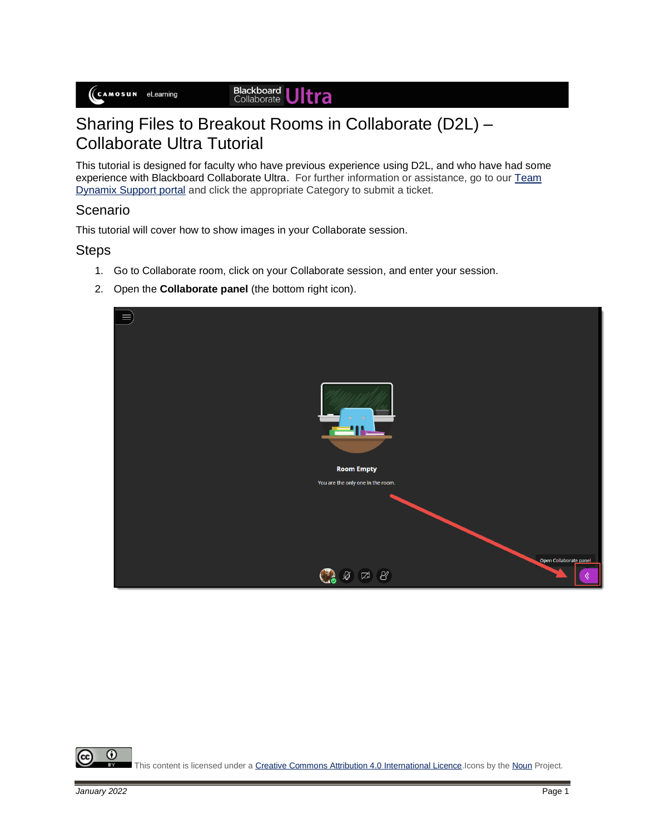#### Blackboard<br>Collaborate Jltra

# Sharing Files to Breakout Rooms in Collaborate (D2L) – Collaborate Ultra Tutorial

This tutorial is designed for faculty who have previous experience using D2L, and who have had some experience with Blackboard Collaborate Ultra. For further information or assistance, go to our Team [Dynamix Support portal](https://camosun.teamdynamix.com/TDClient/67/Portal/Requests/ServiceCatalog?CategoryID=523) and click the appropriate Category to submit a ticket.

### Scenario

This tutorial will cover how to show images in your Collaborate session.

### **Steps**

- 1. Go to Collaborate room, click on your Collaborate session, and enter your session.
- 2. Open the **Collaborate panel** (the bottom right icon).



0 This content is licensed under [a Creative Commons Attribution 4.0 International Licence.I](https://creativecommons.org/licenses/by/4.0/)cons by th[e Noun](https://creativecommons.org/website-icons/) Project.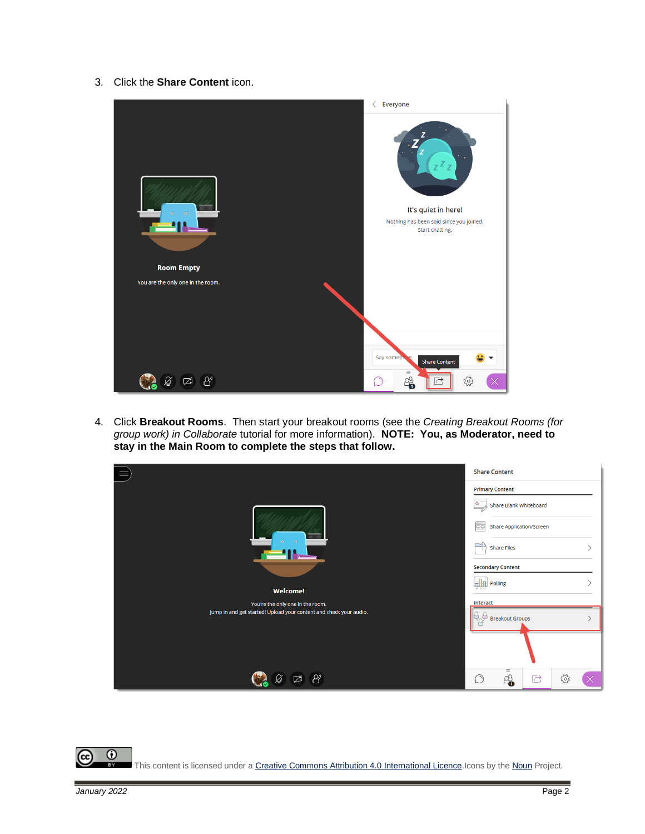3. Click the **Share Content** icon.



4. Click **Breakout Rooms**. Then start your breakout rooms (see the *Creating Breakout Rooms (for group work) in Collaborate* tutorial for more information). **NOTE: You, as Moderator, need to stay in the Main Room to complete the steps that follow.**

|                                                                    | <b>Share Content</b>            |                                              |   |     |  |  |
|--------------------------------------------------------------------|---------------------------------|----------------------------------------------|---|-----|--|--|
|                                                                    | <b>Primary Content</b>          |                                              |   |     |  |  |
|                                                                    | $G =$<br>Share Blank Whiteboard |                                              |   |     |  |  |
|                                                                    |                                 | 777<br><b>Share Application/Screen</b><br>oo |   |     |  |  |
| $\odot$<br>$\odot$                                                 | $\Rightarrow$                   | <b>Share Files</b>                           |   |     |  |  |
|                                                                    | <b>Secondary Content</b>        |                                              |   |     |  |  |
| <b>Welcome!</b>                                                    | ъЩ                              | Polling                                      |   |     |  |  |
| You're the only one in the room.                                   | Interact                        |                                              |   |     |  |  |
| Jump in and get started! Upload your content and check your audio. | à<br><b>Breakout Groups</b>     |                                              |   |     |  |  |
|                                                                    |                                 |                                              |   |     |  |  |
| X<br>■ズ                                                            | $\circlearrowright$             | $\equiv$<br>8                                | C | छुँ |  |  |

 $\overline{\odot}$ r. This content is licensed under [a Creative Commons Attribution 4.0 International Licence.I](https://creativecommons.org/licenses/by/4.0/)cons by th[e Noun](https://creativecommons.org/website-icons/) Project.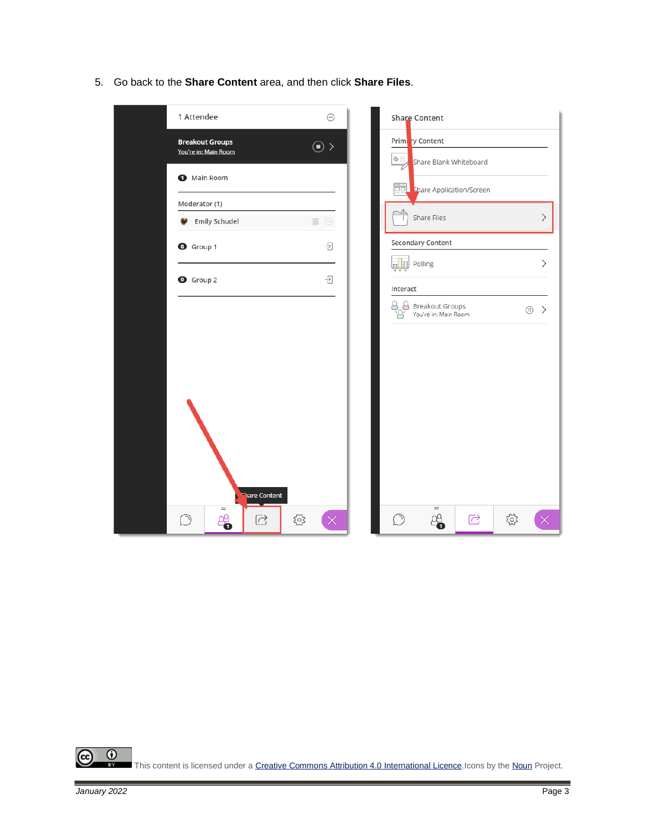5. Go back to the **Share Content** area, and then click **Share Files**.



 $\overline{\odot}$ (cc This content is licensed under [a Creative Commons Attribution 4.0 International Licence.I](https://creativecommons.org/licenses/by/4.0/)cons by th[e Noun](https://creativecommons.org/website-icons/) Project.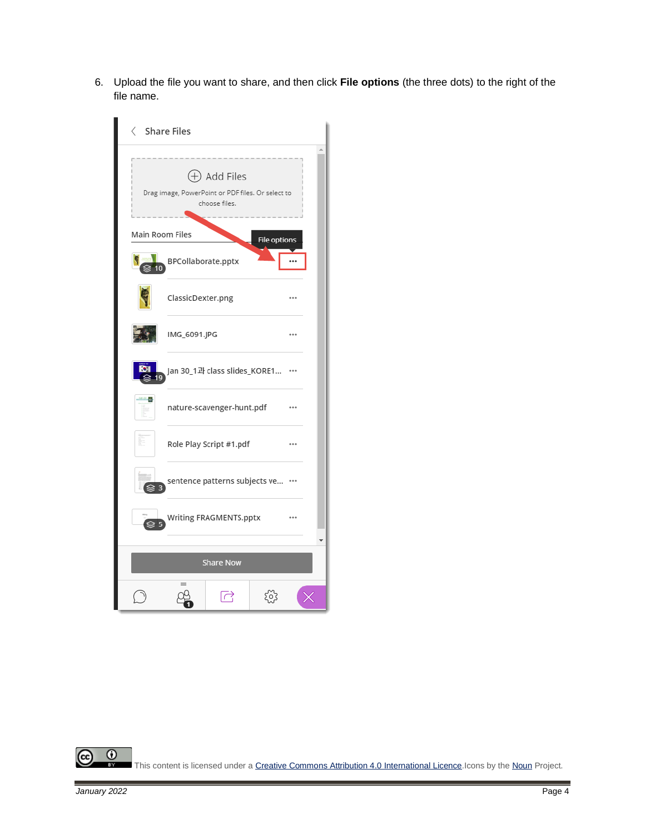6. Upload the file you want to share, and then click **File options** (the three dots) to the right of the file name.



 $\overline{\odot}$ This content is licensed under [a Creative Commons Attribution 4.0 International Licence.I](https://creativecommons.org/licenses/by/4.0/)cons by th[e Noun](https://creativecommons.org/website-icons/) Project.

(cc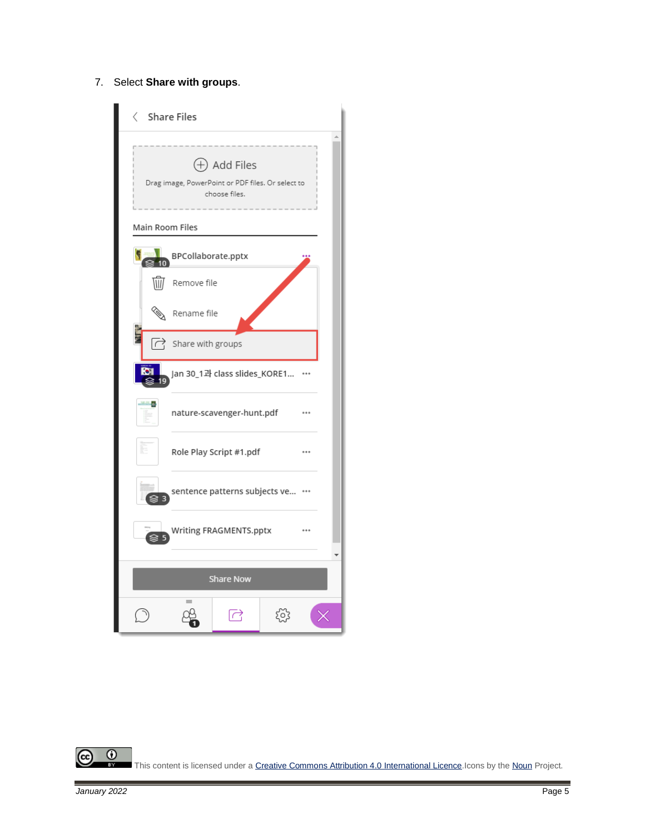#### 7. Select **Share with groups**.



 $\overline{\odot}$ (cc This content is licensed under [a Creative Commons Attribution 4.0 International Licence.I](https://creativecommons.org/licenses/by/4.0/)cons by th[e Noun](https://creativecommons.org/website-icons/) Project.